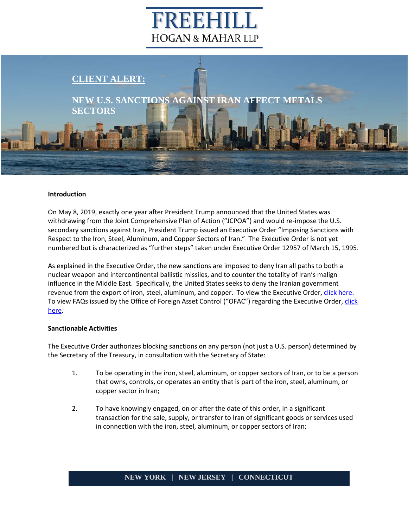# EEHI **HOGAN & MAHAR LLP**

# **CLIENT ALERT:**

**NEW U.S. SANCTIONS AGAINST IRAN AFFECT METALS SECTORS**

#### **Introduction**

On May 8, 2019, exactly one year after President Trump announced that the United States was withdrawing from the Joint Comprehensive Plan of Action ("JCPOA") and would re-impose the U.S. secondary sanctions against Iran, President Trump issued an Executive Order "Imposing Sanctions with Respect to the Iron, Steel, Aluminum, and Copper Sectors of Iran." The Executive Order is not yet numbered but is characterized as "further steps" taken under Executive Order 12957 of March 15, 1995.

As explained in the Executive Order, the new sanctions are imposed to deny Iran all paths to both a nuclear weapon and intercontinental ballistic missiles, and to counter the totality of Iran's malign influence in the Middle East. Specifically, the United States seeks to deny the Iranian government revenue from the export of iron, steel, aluminum, and copper. To view the Executive Order, [click here.](https://www.treasury.gov/resource-center/sanctions/Programs/Documents/iran_eo_metals.pdf) To view FAQs issued by the Office of Foreign Asset Control ("OFAC") regarding the Executive Order, click [here.](https://www.treasury.gov/resource-center/faqs/Sanctions/Pages/faq_iran.aspx#eo_metals)

#### **Sanctionable Activities**

The Executive Order authorizes blocking sanctions on any person (not just a U.S. person) determined by the Secretary of the Treasury, in consultation with the Secretary of State:

- 1. To be operating in the iron, steel, aluminum, or copper sectors of Iran, or to be a person that owns, controls, or operates an entity that is part of the iron, steel, aluminum, or copper sector in Iran;
- 2. To have knowingly engaged, on or after the date of this order, in a significant transaction for the sale, supply, or transfer to Iran of significant goods or services used in connection with the iron, steel, aluminum, or copper sectors of Iran;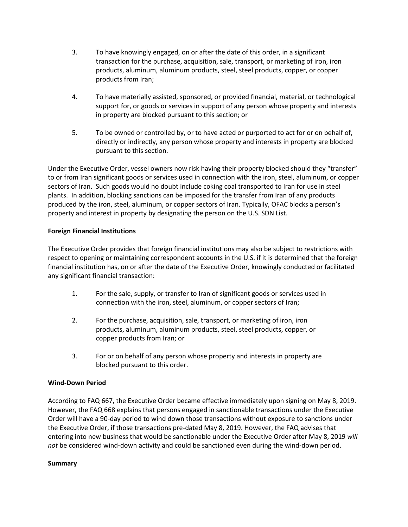- 3. To have knowingly engaged, on or after the date of this order, in a significant transaction for the purchase, acquisition, sale, transport, or marketing of iron, iron products, aluminum, aluminum products, steel, steel products, copper, or copper products from Iran;
- 4. To have materially assisted, sponsored, or provided financial, material, or technological support for, or goods or services in support of any person whose property and interests in property are blocked pursuant to this section; or
- 5. To be owned or controlled by, or to have acted or purported to act for or on behalf of, directly or indirectly, any person whose property and interests in property are blocked pursuant to this section.

Under the Executive Order, vessel owners now risk having their property blocked should they "transfer" to or from Iran significant goods or services used in connection with the iron, steel, aluminum, or copper sectors of Iran. Such goods would no doubt include coking coal transported to Iran for use in steel plants. In addition, blocking sanctions can be imposed for the transfer from Iran of any products produced by the iron, steel, aluminum, or copper sectors of Iran. Typically, OFAC blocks a person's property and interest in property by designating the person on the U.S. SDN List.

## **Foreign Financial Institutions**

The Executive Order provides that foreign financial institutions may also be subject to restrictions with respect to opening or maintaining correspondent accounts in the U.S. if it is determined that the foreign financial institution has, on or after the date of the Executive Order, knowingly conducted or facilitated any significant financial transaction:

- 1. For the sale, supply, or transfer to Iran of significant goods or services used in connection with the iron, steel, aluminum, or copper sectors of Iran;
- 2. For the purchase, acquisition, sale, transport, or marketing of iron, iron products, aluminum, aluminum products, steel, steel products, copper, or copper products from Iran; or
- 3. For or on behalf of any person whose property and interests in property are blocked pursuant to this order.

## **Wind-Down Period**

According to FAQ 667, the Executive Order became effective immediately upon signing on May 8, 2019. However, the FAQ 668 explains that persons engaged in sanctionable transactions under the Executive Order will have a 90-day period to wind down those transactions without exposure to sanctions under the Executive Order, if those transactions pre-dated May 8, 2019. However, the FAQ advises that entering into new business that would be sanctionable under the Executive Order after May 8, 2019 *will not* be considered wind-down activity and could be sanctioned even during the wind-down period.

#### **Summary**